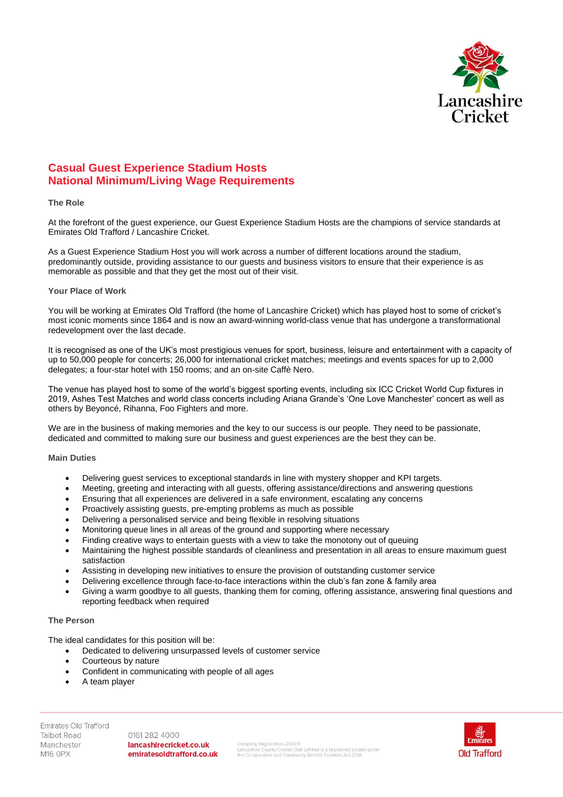

# **Casual Guest Experience Stadium Hosts National Minimum/Living Wage Requirements**

### **The Role**

At the forefront of the guest experience, our Guest Experience Stadium Hosts are the champions of service standards at Emirates Old Trafford / Lancashire Cricket.

As a Guest Experience Stadium Host you will work across a number of different locations around the stadium, predominantly outside, providing assistance to our guests and business visitors to ensure that their experience is as memorable as possible and that they get the most out of their visit.

### **Your Place of Work**

You will be working at Emirates Old Trafford (the home of Lancashire Cricket) which has played host to some of cricket's most iconic moments since 1864 and is now an award-winning world-class venue that has undergone a transformational redevelopment over the last decade.

It is recognised as one of the UK's most prestigious venues for sport, business, leisure and entertainment with a capacity of up to 50,000 people for concerts; 26,000 for international cricket matches; meetings and events spaces for up to 2,000 delegates; a four-star hotel with 150 rooms; and an on-site Caffè Nero.

The venue has played host to some of the world's biggest sporting events, including six ICC Cricket World Cup fixtures in 2019, Ashes Test Matches and world class concerts including Ariana Grande's 'One Love Manchester' concert as well as others by Beyoncé, Rihanna, Foo Fighters and more.

We are in the business of making memories and the key to our success is our people. They need to be passionate, dedicated and committed to making sure our business and guest experiences are the best they can be.

### **Main Duties**

- Delivering guest services to exceptional standards in line with mystery shopper and KPI targets.
- Meeting, greeting and interacting with all guests, offering assistance/directions and answering questions
- Ensuring that all experiences are delivered in a safe environment, escalating any concerns
- Proactively assisting guests, pre-empting problems as much as possible
- Delivering a personalised service and being flexible in resolving situations
- Monitoring queue lines in all areas of the ground and supporting where necessary
- Finding creative ways to entertain quests with a view to take the monotony out of queuing
- Maintaining the highest possible standards of cleanliness and presentation in all areas to ensure maximum guest satisfaction
- Assisting in developing new initiatives to ensure the provision of outstanding customer service
- Delivering excellence through face-to-face interactions within the club's fan zone & family area
- Giving a warm goodbye to all guests, thanking them for coming, offering assistance, answering final questions and reporting feedback when required

## **The Person**

The ideal candidates for this position will be:

- Dedicated to delivering unsurpassed levels of customer service
- Courteous by nature
- Confident in communicating with people of all ages
- A team player

Emirates Old Trafford **Talbot Road** Manchester M16 OPX

0161 282 4000 lancashirecricket.co.uk emiratesoldtrafford.co.uk

Company Registration: 28451R<br>Lancashire County Cricket Club Limited is a registered society under<br>the Co-operative and Community Benefit Societies Act 2014.